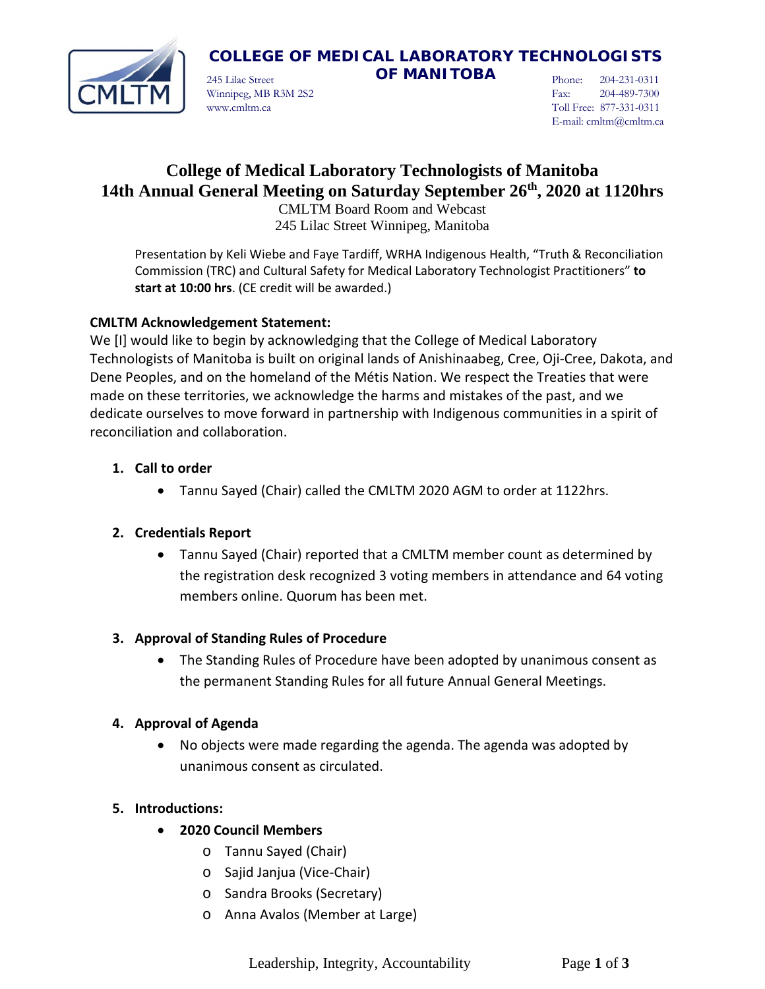

# **COLLEGE OF MEDICAL LABORATORY TECHNOLOGISTS**

245 Lilac Street **OF MANITOBA** Winnipeg, MB R3M 2S2 www.cmltm.ca

Phone: 204-231-0311 Fax: 204-489-7300 Toll Free: 877-331-0311 E-mail: cmltm@cmltm.ca

# **College of Medical Laboratory Technologists of Manitoba 14th Annual General Meeting on Saturday September 26th, 2020 at 1120hrs**

CMLTM Board Room and Webcast 245 Lilac Street Winnipeg, Manitoba

Presentation by Keli Wiebe and Faye Tardiff, WRHA Indigenous Health, "Truth & Reconciliation Commission (TRC) and Cultural Safety for Medical Laboratory Technologist Practitioners" **to start at 10:00 hrs**. (CE credit will be awarded.)

# **CMLTM Acknowledgement Statement:**

We [I] would like to begin by acknowledging that the College of Medical Laboratory Technologists of Manitoba is built on original lands of Anishinaabeg, Cree, Oji-Cree, Dakota, and Dene Peoples, and on the homeland of the Métis Nation. We respect the Treaties that were made on these territories, we acknowledge the harms and mistakes of the past, and we dedicate ourselves to move forward in partnership with Indigenous communities in a spirit of reconciliation and collaboration.

# **1. Call to order**

• Tannu Sayed (Chair) called the CMLTM 2020 AGM to order at 1122hrs.

# **2. Credentials Report**

• Tannu Sayed (Chair) reported that a CMLTM member count as determined by the registration desk recognized 3 voting members in attendance and 64 voting members online. Quorum has been met.

# **3. Approval of Standing Rules of Procedure**

• The Standing Rules of Procedure have been adopted by unanimous consent as the permanent Standing Rules for all future Annual General Meetings.

# **4. Approval of Agenda**

• No objects were made regarding the agenda. The agenda was adopted by unanimous consent as circulated.

# **5. Introductions:**

# • **2020 Council Members**

- o Tannu Sayed (Chair)
- o Sajid Janjua (Vice-Chair)
- o Sandra Brooks (Secretary)
- o Anna Avalos (Member at Large)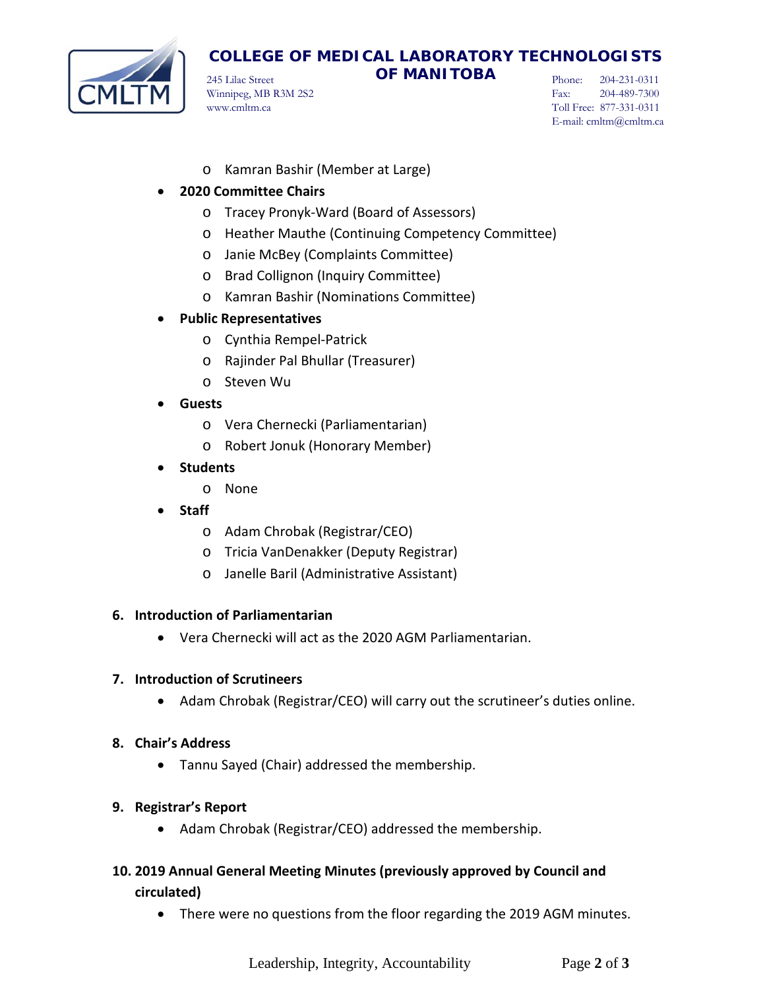

# **COLLEGE OF MEDICAL LABORATORY TECHNOLOGISTS**

245 Lilac Street **OF MANITOBA** Winnipeg, MB R3M 2S2 www.cmltm.ca

Phone: 204-231-0311 Fax: 204-489-7300 Toll Free: 877-331-0311 E-mail: cmltm@cmltm.ca

o Kamran Bashir (Member at Large)

## • **2020 Committee Chairs**

- o Tracey Pronyk-Ward (Board of Assessors)
- o Heather Mauthe (Continuing Competency Committee)
- o Janie McBey (Complaints Committee)
- o Brad Collignon (Inquiry Committee)
- o Kamran Bashir (Nominations Committee)

## • **Public Representatives**

- o Cynthia Rempel-Patrick
- o Rajinder Pal Bhullar (Treasurer)
- o Steven Wu
- **Guests**
	- o Vera Chernecki (Parliamentarian)
	- o Robert Jonuk (Honorary Member)
- **Students**
	- o None
- **Staff**
	- o Adam Chrobak (Registrar/CEO)
	- o Tricia VanDenakker (Deputy Registrar)
	- o Janelle Baril (Administrative Assistant)

## **6. Introduction of Parliamentarian**

• Vera Chernecki will act as the 2020 AGM Parliamentarian.

## **7. Introduction of Scrutineers**

- Adam Chrobak (Registrar/CEO) will carry out the scrutineer's duties online.
- **8. Chair's Address**
	- Tannu Sayed (Chair) addressed the membership.
- **9. Registrar's Report**
	- Adam Chrobak (Registrar/CEO) addressed the membership.
- **10. 2019 Annual General Meeting Minutes (previously approved by Council and circulated)**
	- There were no questions from the floor regarding the 2019 AGM minutes.